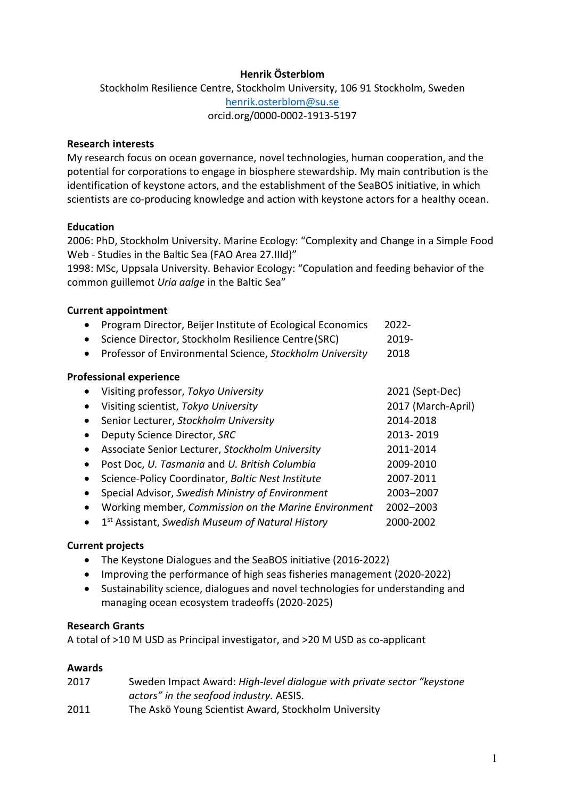# **Henrik Österblom**

Stockholm Resilience Centre, Stockholm University, 106 91 Stockholm, Sweden [henrik.osterblom@su.se](mailto:henrik.osterblom@su.se) orcid.org/0000-0002-1913-5197

## **Research interests**

My research focus on ocean governance, novel technologies, human cooperation, and the potential for corporations to engage in biosphere stewardship. My main contribution is the identification of keystone actors, and the establishment of the SeaBOS initiative, in which scientists are co-producing knowledge and action with keystone actors for a healthy ocean.

### **Education**

2006: PhD, Stockholm University. Marine Ecology: "Complexity and Change in a Simple Food Web - Studies in the Baltic Sea (FAO Area 27.IIId)"

1998: MSc, Uppsala University. Behavior Ecology: "Copulation and feeding behavior of the common guillemot *Uria aalge* in the Baltic Sea"

### **Current appointment**

- Program Director, Beijer Institute of Ecological Economics 2022-
- Science Director, Stockholm Resilience Centre(SRC) 2019-
- Professor of Environmental Science, *Stockholm University* 2018

### **Professional experience**

|           | Visiting professor, Tokyo University                         | 2021 (Sept-Dec)    |
|-----------|--------------------------------------------------------------|--------------------|
| $\bullet$ | Visiting scientist, Tokyo University                         | 2017 (March-April) |
|           | Senior Lecturer, Stockholm University                        | 2014-2018          |
|           | Deputy Science Director, SRC                                 | 2013-2019          |
|           | Associate Senior Lecturer, Stockholm University              | 2011-2014          |
|           | Post Doc, U. Tasmania and U. British Columbia                | 2009-2010          |
|           | Science-Policy Coordinator, Baltic Nest Institute            | 2007-2011          |
|           | Special Advisor, Swedish Ministry of Environment             | 2003-2007          |
|           | Working member, Commission on the Marine Environment         | 2002-2003          |
|           | 1 <sup>st</sup> Assistant, Swedish Museum of Natural History | 2000-2002          |

#### **Current projects**

- The Keystone Dialogues and the SeaBOS initiative (2016-2022)
- Improving the performance of high seas fisheries management (2020-2022)
- Sustainability science, dialogues and novel technologies for understanding and managing ocean ecosystem tradeoffs (2020-2025)

#### **Research Grants**

A total of >10 M USD as Principal investigator, and >20 M USD as co-applicant

#### **Awards**

| 2017 | Sweden Impact Award: High-level dialogue with private sector "keystone" |
|------|-------------------------------------------------------------------------|
|      | actors" in the seafood industry. AESIS.                                 |
| 2011 | The Askö Young Scientist Award, Stockholm University                    |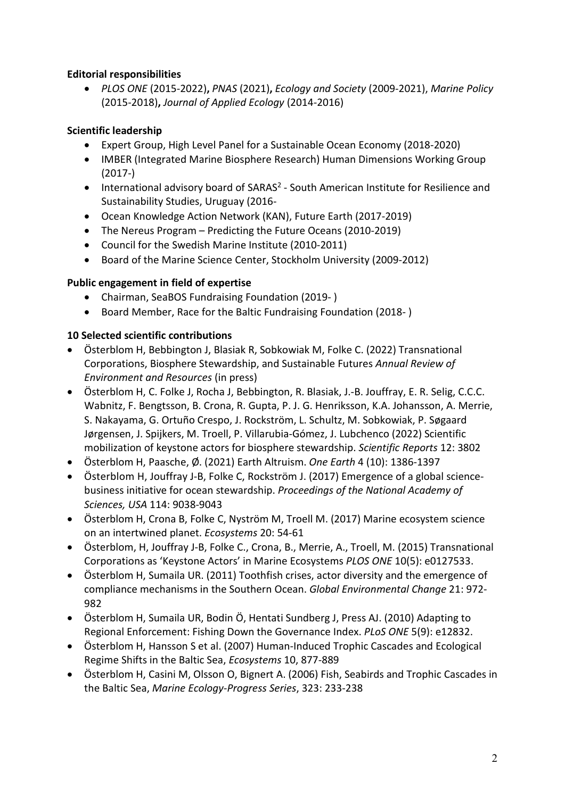# **Editorial responsibilities**

• *PLOS ONE* (2015-2022)**,** *PNAS* (2021)**,** *Ecology and Society* (2009-2021), *Marine Policy*  (2015-2018)**,** *Journal of Applied Ecology* (2014-2016)

# **Scientific leadership**

- Expert Group, High Level Panel for a Sustainable Ocean Economy (2018-2020)
- IMBER (Integrated Marine Biosphere Research) Human Dimensions Working Group (2017-)
- International advisory board of SARAS<sup>2</sup> South American Institute for Resilience and Sustainability Studies, Uruguay (2016-
- Ocean Knowledge Action Network (KAN), Future Earth (2017-2019)
- The Nereus Program Predicting the Future Oceans (2010-2019)
- Council for the Swedish Marine Institute (2010-2011)
- Board of the Marine Science Center, Stockholm University (2009-2012)

# **Public engagement in field of expertise**

- Chairman, SeaBOS Fundraising Foundation (2019- )
- Board Member, Race for the Baltic Fundraising Foundation (2018- )

# **10 Selected scientific contributions**

- Österblom H, Bebbington J, Blasiak R, Sobkowiak M, Folke C. (2022) Transnational Corporations, Biosphere Stewardship, and Sustainable Futures *Annual Review of Environment and Resources* (in press)
- Österblom H, C. Folke J, Rocha J, Bebbington, R. Blasiak, J.-B. Jouffray, E. R. Selig, C.C.C. Wabnitz, F. Bengtsson, B. Crona, R. Gupta, P. J. G. Henriksson, K.A. Johansson, A. Merrie, S. Nakayama, G. Ortuño Crespo, J. Rockström, L. Schultz, M. Sobkowiak, P. Søgaard Jørgensen, J. Spijkers, M. Troell, P. Villarubia-Gómez, J. Lubchenco (2022) Scientific mobilization of keystone actors for biosphere stewardship. *Scientific Reports* 12: 3802
- Österblom H, Paasche, Ø. (2021) Earth Altruism. *One Earth* 4 (10): 1386-1397
- Österblom H, Jouffray J-B, Folke C, Rockström J. (2017) Emergence of a global sciencebusiness initiative for ocean stewardship. *Proceedings of the National Academy of Sciences, USA* 114: 9038-9043
- Österblom H, Crona B, Folke C, Nyström M, Troell M. (2017) Marine ecosystem science on an intertwined planet. *Ecosystems* 20: 54-61
- Österblom, H, Jouffray J-B, Folke C., Crona, B., Merrie, A., Troell, M. (2015) Transnational Corporations as 'Keystone Actors' in Marine Ecosystems *PLOS ONE* 10(5): e0127533.
- Österblom H, Sumaila UR. (2011) Toothfish crises, actor diversity and the emergence of compliance mechanisms in the Southern Ocean. *Global Environmental Change* 21: 972- 982
- Österblom H, Sumaila UR, Bodin Ö, Hentati Sundberg J, Press AJ. (2010) Adapting to Regional Enforcement: Fishing Down the Governance Index. *PLoS ONE* 5(9): e12832.
- Österblom H, Hansson S et al. (2007) Human-Induced Trophic Cascades and Ecological Regime Shifts in the Baltic Sea, *Ecosystems* 10, 877-889
- Österblom H, Casini M, Olsson O, Bignert A. (2006) Fish, Seabirds and Trophic Cascades in the Baltic Sea, *Marine Ecology-Progress Series*, 323: 233-238